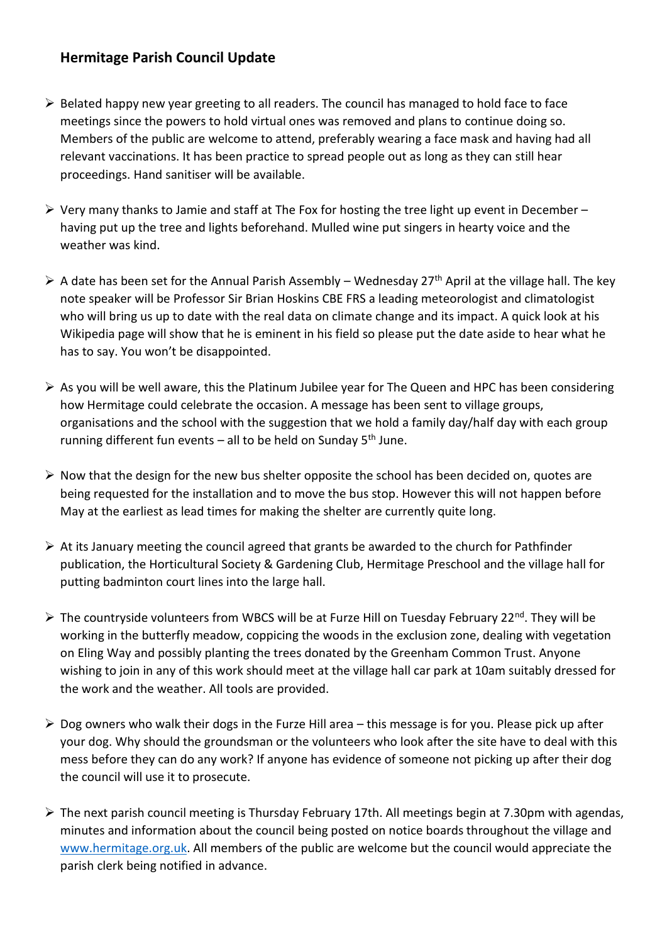## **Hermitage Parish Council Update**

- ➢ Belated happy new year greeting to all readers. The council has managed to hold face to face meetings since the powers to hold virtual ones was removed and plans to continue doing so. Members of the public are welcome to attend, preferably wearing a face mask and having had all relevant vaccinations. It has been practice to spread people out as long as they can still hear proceedings. Hand sanitiser will be available.
- $\triangleright$  Very many thanks to Jamie and staff at The Fox for hosting the tree light up event in December having put up the tree and lights beforehand. Mulled wine put singers in hearty voice and the weather was kind.
- $\triangleright$  A date has been set for the Annual Parish Assembly Wednesday 27<sup>th</sup> April at the village hall. The key note speaker will be Professor Sir Brian Hoskins CBE FRS a leading meteorologist and climatologist who will bring us up to date with the real data on climate change and its impact. A quick look at his Wikipedia page will show that he is eminent in his field so please put the date aside to hear what he has to say. You won't be disappointed.
- ➢ As you will be well aware, this the Platinum Jubilee year for The Queen and HPC has been considering how Hermitage could celebrate the occasion. A message has been sent to village groups, organisations and the school with the suggestion that we hold a family day/half day with each group running different fun events – all to be held on Sunday  $5<sup>th</sup>$  June.
- ➢ Now that the design for the new bus shelter opposite the school has been decided on, quotes are being requested for the installation and to move the bus stop. However this will not happen before May at the earliest as lead times for making the shelter are currently quite long.
- $\triangleright$  At its January meeting the council agreed that grants be awarded to the church for Pathfinder publication, the Horticultural Society & Gardening Club, Hermitage Preschool and the village hall for putting badminton court lines into the large hall.
- ➢ The countryside volunteers from WBCS will be at Furze Hill on Tuesday February 22nd. They will be working in the butterfly meadow, coppicing the woods in the exclusion zone, dealing with vegetation on Eling Way and possibly planting the trees donated by the Greenham Common Trust. Anyone wishing to join in any of this work should meet at the village hall car park at 10am suitably dressed for the work and the weather. All tools are provided.
- $\triangleright$  Dog owners who walk their dogs in the Furze Hill area this message is for you. Please pick up after your dog. Why should the groundsman or the volunteers who look after the site have to deal with this mess before they can do any work? If anyone has evidence of someone not picking up after their dog the council will use it to prosecute.
- ➢ The next parish council meeting is Thursday February 17th. All meetings begin at 7.30pm with agendas, minutes and information about the council being posted on notice boards throughout the village and [www.hermitage.org.uk.](http://www.hermitage.org.uk/) All members of the public are welcome but the council would appreciate the parish clerk being notified in advance.